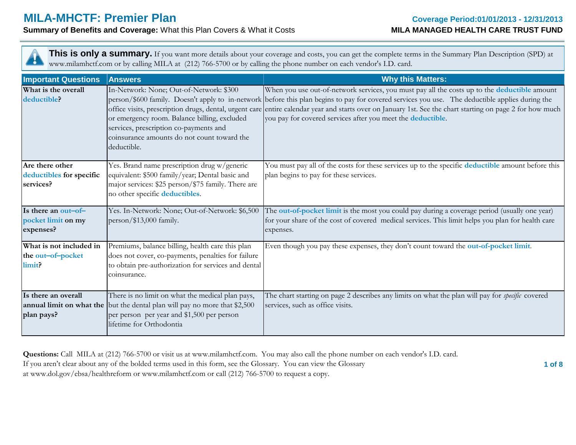# **MILA-MHCTF: Premier Plan**

**Summary of Benefits and Coverage:** What this Plan Covers & What it Costs

| This is only a summary. If you want more details about your coverage and costs, you can get the complete terms in the Summary Plan Description (SPD) at<br>www.milamhctf.com or by calling MILA at (212) 766-5700 or by calling the phone number on each vendor's I.D. card. |                                                                                                                                                                                                          |                                                                                                                                                                                                                                                                                                                                                                                                                                                                             |  |  |  |
|------------------------------------------------------------------------------------------------------------------------------------------------------------------------------------------------------------------------------------------------------------------------------|----------------------------------------------------------------------------------------------------------------------------------------------------------------------------------------------------------|-----------------------------------------------------------------------------------------------------------------------------------------------------------------------------------------------------------------------------------------------------------------------------------------------------------------------------------------------------------------------------------------------------------------------------------------------------------------------------|--|--|--|
| <b>Important Questions</b>                                                                                                                                                                                                                                                   | <b>Answers</b>                                                                                                                                                                                           | <b>Why this Matters:</b>                                                                                                                                                                                                                                                                                                                                                                                                                                                    |  |  |  |
| What is the overall<br>deductible?                                                                                                                                                                                                                                           | In-Network: None; Out-of-Network: \$300<br>or emergency room. Balance billing, excluded<br>services, prescription co-payments and<br>coinsurance amounts do not count toward the<br>deductible.          | When you use out-of-network services, you must pay all the costs up to the deductible amount<br>person/\$600 family. Doesn't apply to in-network before this plan begins to pay for covered services you use. The deductible applies during the<br>office visits, prescription drugs, dental, urgent care entire calendar year and starts over on January 1st. See the chart starting on page 2 for how much<br>you pay for covered services after you meet the deductible. |  |  |  |
| Are there other<br>deductibles for specific<br>services?                                                                                                                                                                                                                     | Yes. Brand name prescription drug w/generic<br>equivalent: \$500 family/year; Dental basic and<br>major services: \$25 person/\$75 family. There are<br>no other specific deductibles.                   | You must pay all of the costs for these services up to the specific deductible amount before this<br>plan begins to pay for these services.                                                                                                                                                                                                                                                                                                                                 |  |  |  |
| Is there an out-of-<br>pocket limit on my<br>expenses?                                                                                                                                                                                                                       | Yes. In-Network: None; Out-of-Network: \$6,500<br>person/\$13,000 family.                                                                                                                                | The out-of-pocket limit is the most you could pay during a coverage period (usually one year)<br>for your share of the cost of covered medical services. This limit helps you plan for health care<br>expenses.                                                                                                                                                                                                                                                             |  |  |  |
| What is not included in<br>the out-of-pocket<br>limit?                                                                                                                                                                                                                       | Premiums, balance billing, health care this plan<br>does not cover, co-payments, penalties for failure<br>to obtain pre-authorization for services and dental<br>coinsurance.                            | Even though you pay these expenses, they don't count toward the out-of-pocket limit.                                                                                                                                                                                                                                                                                                                                                                                        |  |  |  |
| Is there an overall<br>plan pays?                                                                                                                                                                                                                                            | There is no limit on what the medical plan pays,<br>annual limit on what the but the dental plan will pay no more that \$2,500<br>per person per year and \$1,500 per person<br>lifetime for Orthodontia | The chart starting on page 2 describes any limits on what the plan will pay for <i>specific</i> covered<br>services, such as office visits.                                                                                                                                                                                                                                                                                                                                 |  |  |  |

**Questions:** Call MILA at (212) 766-5700 or visit us at www.milamhctf.com. You may also call the phone number on each vendor's I.D. card. If you aren't clear about any of the bolded terms used in this form, see the Glossary. You can view the Glossary **1 of 8** at www.dol.gov/ebsa/healthreform or www.milamhctf.com or call (212) 766-5700 to request a copy.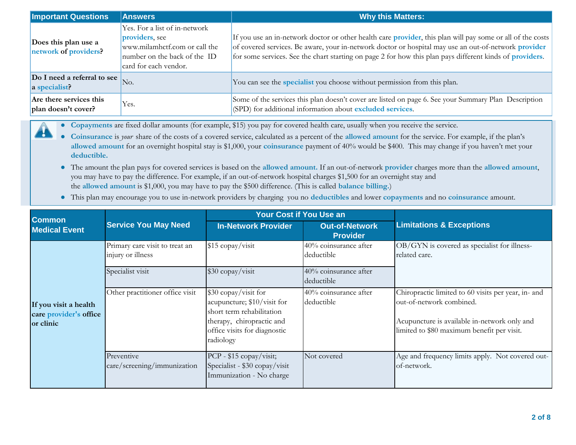| <b>Important Questions</b>                     | <b>Answers</b>                                                                                                                            | <b>Why this Matters:</b>                                                                                                                                                                                                                                                                                                                              |
|------------------------------------------------|-------------------------------------------------------------------------------------------------------------------------------------------|-------------------------------------------------------------------------------------------------------------------------------------------------------------------------------------------------------------------------------------------------------------------------------------------------------------------------------------------------------|
| Does this plan use a<br>network of providers?  | Yes. For a list of in-network<br>providers, see<br>www.milamhctf.com or call the<br>number on the back of the ID<br>card for each vendor. | If you use an in-network doctor or other health care <b>provider</b> , this plan will pay some or all of the costs<br>of covered services. Be aware, your in-network doctor or hospital may use an out-of-network <b>provider</b><br>for some services. See the chart starting on page 2 for how this plan pays different kinds of <b>providers</b> . |
| Do I need a referral to see<br>a specialist?   | No.                                                                                                                                       | You can see the specialist you choose without permission from this plan.                                                                                                                                                                                                                                                                              |
| Are there services this<br>plan doesn't cover? | Yes.                                                                                                                                      | Some of the services this plan doesn't cover are listed on page 6. See your Summary Plan Description<br>(SPD) for additional information about excluded services.                                                                                                                                                                                     |

**● Copayments** are fixed dollar amounts (for example, \$15) you pay for covered health care, usually when you receive the service.

H

- **● Coinsurance** is *your* share of the costs of a covered service, calculated as a percent of the **allowed amount** for the service. For example, if the plan's **allowed amount** for an overnight hospital stay is \$1,000, your **coinsurance** payment of 40% would be \$400. This may change if you haven't met your **deductible.**
- **●** The amount the plan pays for covered services is based on the **allowed amount.** If an out-of-network **provider** charges more than the **allowed amount**, you may have to pay the difference. For example, if an out-of-network hospital charges \$1,500 for an overnight stay and the **allowed amount** is \$1,000, you may have to pay the \$500 difference. (This is called **balance billing.**)
- **●** This plan may encourage you to use in-network providers by charging you no **deductibles** and lower **copayments** and no **coinsurance** amount.

| <b>Common</b>                                                |                                                     | <b>Your Cost if You Use an</b>                                                                                                                             |                                               |                                                                                                                                                                               |  |
|--------------------------------------------------------------|-----------------------------------------------------|------------------------------------------------------------------------------------------------------------------------------------------------------------|-----------------------------------------------|-------------------------------------------------------------------------------------------------------------------------------------------------------------------------------|--|
| <b>Medical Event</b>                                         | <b>Service You May Need</b>                         | <b>In-Network Provider</b>                                                                                                                                 | <b>Out-of-Network</b><br><b>Provider</b>      | <b>Limitations &amp; Exceptions</b>                                                                                                                                           |  |
| If you visit a health<br>care provider's office<br>or clinic | Primary care visit to treat an<br>injury or illness | $$15$ copay/visit                                                                                                                                          | $\sqrt{40\%}$ coinsurance after<br>deductible | OB/GYN is covered as specialist for illness-<br>related care.                                                                                                                 |  |
|                                                              | Specialist visit                                    | \$30 copay/visit                                                                                                                                           | 40% coinsurance after<br>deductible           |                                                                                                                                                                               |  |
|                                                              | Other practitioner office visit                     | \$30 copay/visit for<br>acupuncture; \$10/visit for<br>short term rehabilitation<br>therapy, chiropractic and<br>office visits for diagnostic<br>radiology | 40% coinsurance after<br>deductible           | Chiropractic limited to 60 visits per year, in- and<br>out-of-network combined.<br>Acupuncture is available in-network only and<br>limited to \$80 maximum benefit per visit. |  |
|                                                              | Preventive<br>care/screening/immunization           | PCP - \$15 copay/visit;<br>Specialist - \$30 copay/visit<br>Immunization - No charge                                                                       | Not covered                                   | Age and frequency limits apply. Not covered out-<br>of-network.                                                                                                               |  |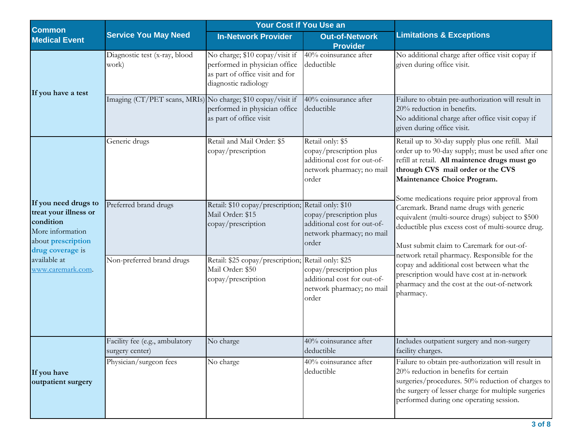| <b>Common</b>                                                                                                                                                 |                                                             | Your Cost if You Use an                                                                                                    |                                                                                                                  |                                                                                                                                                                                                                                                                                                                                                                                                                                                       |  |
|---------------------------------------------------------------------------------------------------------------------------------------------------------------|-------------------------------------------------------------|----------------------------------------------------------------------------------------------------------------------------|------------------------------------------------------------------------------------------------------------------|-------------------------------------------------------------------------------------------------------------------------------------------------------------------------------------------------------------------------------------------------------------------------------------------------------------------------------------------------------------------------------------------------------------------------------------------------------|--|
| <b>Medical Event</b>                                                                                                                                          | <b>Service You May Need</b>                                 | <b>In-Network Provider</b>                                                                                                 | <b>Out-of-Network</b><br><b>Provider</b>                                                                         | <b>Limitations &amp; Exceptions</b>                                                                                                                                                                                                                                                                                                                                                                                                                   |  |
| If you have a test                                                                                                                                            | Diagnostic test (x-ray, blood<br>work)                      | No charge; \$10 copay/visit if<br>performed in physician office<br>as part of office visit and for<br>diagnostic radiology | 40% coinsurance after<br>deductible                                                                              | No additional charge after office visit copay if<br>given during office visit.                                                                                                                                                                                                                                                                                                                                                                        |  |
|                                                                                                                                                               | Imaging (CT/PET scans, MRIs) No charge; \$10 copay/visit if | performed in physician office<br>as part of office visit                                                                   | 40% coinsurance after<br>deductible                                                                              | Failure to obtain pre-authorization will result in<br>20% reduction in benefits.<br>No additional charge after office visit copay if<br>given during office visit.                                                                                                                                                                                                                                                                                    |  |
|                                                                                                                                                               | Generic drugs                                               | Retail and Mail Order: \$5<br>copay/prescription                                                                           | Retail only: \$5<br>copay/prescription plus<br>additional cost for out-of-<br>network pharmacy; no mail<br>order | Retail up to 30-day supply plus one refill. Mail<br>order up to 90-day supply; must be used after one<br>refill at retail. All maintence drugs must go<br>through CVS mail order or the CVS<br>Maintenance Choice Program.                                                                                                                                                                                                                            |  |
| If you need drugs to<br>treat your illness or<br>condition<br>More information<br>about prescription<br>drug coverage is<br>available at<br>www.caremark.com. | Preferred brand drugs                                       | Retail: \$10 copay/prescription; Retail only: \$10<br>Mail Order: \$15<br>copay/prescription                               | copay/prescription plus<br>additional cost for out-of-<br>network pharmacy; no mail<br>order                     | Some medications require prior approval from<br>Caremark. Brand name drugs with generic<br>equivalent (multi-source drugs) subject to \$500<br>deductible plus excess cost of multi-source drug.<br>Must submit claim to Caremark for out-of-<br>network retail pharmacy. Responsible for the<br>copay and additional cost between what the<br>prescription would have cost at in-network<br>pharmacy and the cost at the out-of-network<br>pharmacy. |  |
|                                                                                                                                                               | Non-preferred brand drugs                                   | Retail: \$25 copay/prescription; Retail only: \$25<br>Mail Order: \$50<br>copay/prescription                               | copay/prescription plus<br>additional cost for out-of-<br>network pharmacy; no mail<br>order                     |                                                                                                                                                                                                                                                                                                                                                                                                                                                       |  |
|                                                                                                                                                               | Facility fee (e.g., ambulatory<br>surgery center)           | No charge                                                                                                                  | 40% coinsurance after<br>deductible                                                                              | Includes outpatient surgery and non-surgery<br>facility charges.                                                                                                                                                                                                                                                                                                                                                                                      |  |
| If you have<br>outpatient surgery                                                                                                                             | Physician/surgeon fees                                      | No charge                                                                                                                  | 40% coinsurance after<br>deductible                                                                              | Failure to obtain pre-authorization will result in<br>20% reduction in benefits for certain<br>surgeries/procedures. 50% reduction of charges to<br>the surgery of lesser charge for multiple surgeries<br>performed during one operating session.                                                                                                                                                                                                    |  |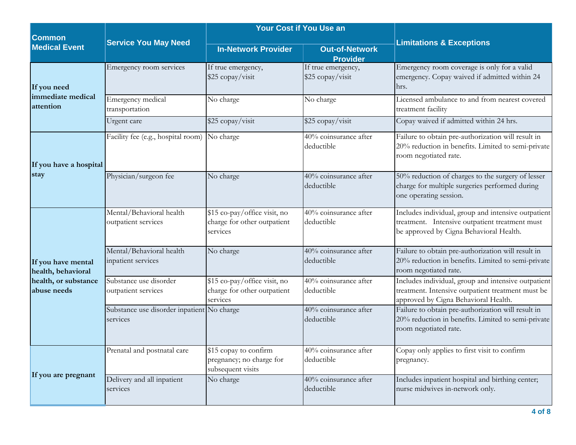| <b>Common</b>                                                                   | <b>Service You May Need</b>                            | <b>Your Cost if You Use an</b>                                          |                                          |                                                                                                                                                  |  |
|---------------------------------------------------------------------------------|--------------------------------------------------------|-------------------------------------------------------------------------|------------------------------------------|--------------------------------------------------------------------------------------------------------------------------------------------------|--|
| <b>Medical Event</b>                                                            |                                                        | <b>In-Network Provider</b>                                              | <b>Out-of-Network</b><br><b>Provider</b> | <b>Limitations &amp; Exceptions</b>                                                                                                              |  |
| If you need                                                                     | Emergency room services                                | If true emergency,<br>\$25 copay/visit                                  | If true emergency,<br>\$25 copay/visit   | Emergency room coverage is only for a valid<br>emergency. Copay waived if admitted within 24<br>hrs.                                             |  |
| immediate medical<br>attention                                                  | Emergency medical<br>transportation                    | No charge                                                               | No charge                                | Licensed ambulance to and from nearest covered<br>treatment facility                                                                             |  |
|                                                                                 | Urgent care                                            | \$25 copay/visit                                                        | \$25 copay/visit                         | Copay waived if admitted within 24 hrs.                                                                                                          |  |
| If you have a hospital                                                          | Facility fee (e.g., hospital room)                     | No charge                                                               | 40% coinsurance after<br>deductible      | Failure to obtain pre-authorization will result in<br>20% reduction in benefits. Limited to semi-private<br>room negotiated rate.                |  |
| stay                                                                            | Physician/surgeon fee                                  | No charge                                                               | 40% coinsurance after<br>deductible      | 50% reduction of charges to the surgery of lesser<br>charge for multiple surgeries performed during<br>one operating session.                    |  |
| If you have mental<br>health, behavioral<br>health, or substance<br>abuse needs | Mental/Behavioral health<br>outpatient services        | \$15 co-pay/office visit, no<br>charge for other outpatient<br>services | 40% coinsurance after<br>deductible      | Includes individual, group and intensive outpatient<br>treatment. Intensive outpatient treatment must<br>be approved by Cigna Behavioral Health. |  |
|                                                                                 | Mental/Behavioral health<br>inpatient services         | No charge                                                               | 40% coinsurance after<br>deductible      | Failure to obtain pre-authorization will result in<br>20% reduction in benefits. Limited to semi-private<br>room negotiated rate.                |  |
|                                                                                 | Substance use disorder<br>outpatient services          | \$15 co-pay/office visit, no<br>charge for other outpatient<br>services | $40\%$ coinsurance after<br>deductible   | Includes individual, group and intensive outpatient<br>treatment. Intensive outpatient treatment must be<br>approved by Cigna Behavioral Health. |  |
|                                                                                 | Substance use disorder inpatient No charge<br>services |                                                                         | 40% coinsurance after<br>deductible      | Failure to obtain pre-authorization will result in<br>20% reduction in benefits. Limited to semi-private<br>room negotiated rate.                |  |
|                                                                                 | Prenatal and postnatal care                            | \$15 copay to confirm<br>pregnancy; no charge for<br>subsequent visits  | 40% coinsurance after<br>deductible      | Copay only applies to first visit to confirm<br>pregnancy.                                                                                       |  |
| If you are pregnant                                                             | Delivery and all inpatient<br>services                 | No charge                                                               | 40% coinsurance after<br>deductible      | Includes inpatient hospital and birthing center;<br>nurse midwives in-network only.                                                              |  |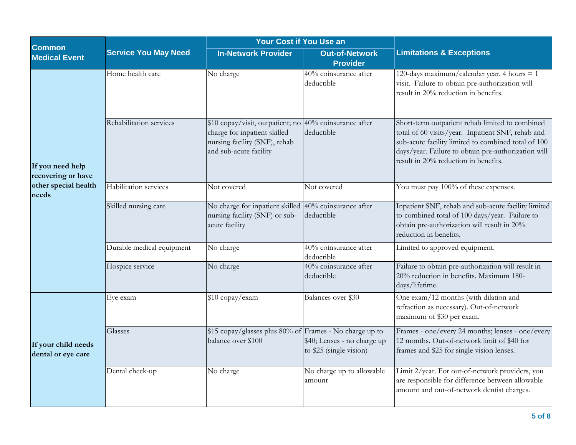| <b>Common</b>                             |                             | Your Cost if You Use an                                                                                                                           |                                                        |                                                                                                                                                                                                                                                            |  |
|-------------------------------------------|-----------------------------|---------------------------------------------------------------------------------------------------------------------------------------------------|--------------------------------------------------------|------------------------------------------------------------------------------------------------------------------------------------------------------------------------------------------------------------------------------------------------------------|--|
| <b>Medical Event</b>                      | <b>Service You May Need</b> | <b>In-Network Provider</b>                                                                                                                        | <b>Out-of-Network</b><br><b>Provider</b>               | <b>Limitations &amp; Exceptions</b>                                                                                                                                                                                                                        |  |
|                                           | Home health care            | No charge                                                                                                                                         | 40% coinsurance after<br>deductible                    | 120-days maximum/calendar year. 4 hours $= 1$<br>visit. Failure to obtain pre-authorization will<br>result in 20% reduction in benefits.                                                                                                                   |  |
| If you need help<br>recovering or have    | Rehabilitation services     | \$10 copay/visit, outpatient; no 40% coinsurance after<br>charge for inpatient skilled<br>nursing facility (SNF), rehab<br>and sub-acute facility | deductible                                             | Short-term outpatient rehab limited to combined<br>total of 60 visits/year. Inpatient SNF, rehab and<br>sub-acute facility limited to combined total of 100<br>days/year. Failure to obtain pre-authorization will<br>result in 20% reduction in benefits. |  |
| other special health<br>needs             | Habilitation services       | Not covered                                                                                                                                       | Not covered                                            | You must pay 100% of these expenses.                                                                                                                                                                                                                       |  |
|                                           | Skilled nursing care        | No charge for inpatient skilled 40% coinsurance after<br>nursing facility (SNF) or sub-<br>acute facility                                         | deductible                                             | Inpatient SNF, rehab and sub-acute facility limited<br>to combined total of 100 days/year. Failure to<br>obtain pre-authorization will result in 20%<br>reduction in benefits.                                                                             |  |
|                                           | Durable medical equipment   | $\overline{\text{No}}$ charge                                                                                                                     | $40\%$ coinsurance after<br>deductible                 | Limited to approved equipment.                                                                                                                                                                                                                             |  |
|                                           | Hospice service             | No charge                                                                                                                                         | 40% coinsurance after<br>deductible                    | Failure to obtain pre-authorization will result in<br>20% reduction in benefits. Maximum 180-<br>days/lifetime.                                                                                                                                            |  |
|                                           | Eye exam                    | \$10 copay/exam                                                                                                                                   | Balances over \$30                                     | One exam/12 months (with dilation and<br>refraction as necessary). Out-of-network<br>maximum of \$30 per exam.                                                                                                                                             |  |
| If your child needs<br>dental or eye care | Glasses                     | $\$\$ 15 copay/glasses plus 80% of Frames - No charge up to<br>balance over \$100                                                                 | \$40; Lenses - no charge up<br>to \$25 (single vision) | Frames - one/every 24 months; lenses - one/every<br>12 months. Out-of-network limit of \$40 for<br>frames and \$25 for single vision lenses.                                                                                                               |  |
|                                           | Dental check-up             | No charge                                                                                                                                         | No charge up to allowable<br>amount                    | Limit 2/year. For out-of-network providers, you<br>are responsible for difference between allowable<br>amount and out-of-network dentist charges.                                                                                                          |  |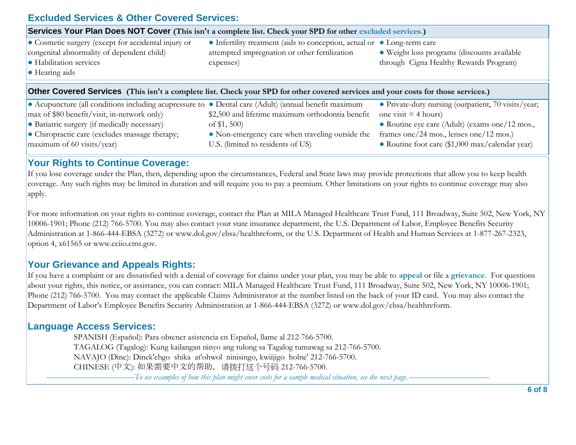# **Excluded Services & Other Covered Services:**

| Services Your Plan Does NOT Cover (This isn't a complete list. Check your SPD for other excluded services.)                                                                                                                                                                                                                                                                              |                                                                                      |                                                                                              |  |  |  |
|------------------------------------------------------------------------------------------------------------------------------------------------------------------------------------------------------------------------------------------------------------------------------------------------------------------------------------------------------------------------------------------|--------------------------------------------------------------------------------------|----------------------------------------------------------------------------------------------|--|--|--|
| • Cosmetic surgery (except for accidental injury or<br>• Infertility treatment (aids to conception, actual or • Long-term care<br>congenital abnormality of dependent child)<br>attempted impregnation or other fertilization<br>· Weight loss programs (discounts available<br>• Habilitation services<br>through Cigna Healthy Rewards Program)<br>expenses)<br>$\bullet$ Hearing aids |                                                                                      |                                                                                              |  |  |  |
| <b>Other Covered Services</b> (This isn't a complete list. Check your SPD for other covered services and your costs for those services.)                                                                                                                                                                                                                                                 |                                                                                      |                                                                                              |  |  |  |
| • Acupuncture (all conditions including acupressure to • Dental care (Adult) (annual benefit maximum<br>$\frac{1}{2}$ max of \$80 benefit/visit, in-network only)                                                                                                                                                                                                                        | \$2,500 and lifetime maximum orthodontia benefit                                     | • Private-duty nursing (outpatient, 70 visits/year;<br>one visit $=$ 4 hours)                |  |  |  |
| • Bariatric surgery (if medically necessary)                                                                                                                                                                                                                                                                                                                                             | of $$1,500$                                                                          | • Routine eye care (Adult) (exams one/12 mos.,                                               |  |  |  |
| • Chiropractic care (excludes massage therapy;<br>maximum of 60 visits/year)                                                                                                                                                                                                                                                                                                             | • Non-emergency care when traveling outside the<br>U.S. (limited to residents of US) | frames one/24 mos., lenses one/12 mos.)<br>• Routine foot care $(\$1,000$ max/calendar year) |  |  |  |

### **Your Rights to Continue Coverage:**

If you lose coverage under the Plan, then, depending upon the circumstances, Federal and State laws may provide protections that allow you to keep health coverage. Any such rights may be limited in duration and will require you to pay a premium. Other limitations on your rights to continue coverage may also apply.

For more information on your rights to continue coverage, contact the Plan at MILA Managed Healthcare Trust Fund, 111 Broadway, Suite 502, New York, NY 10006-1901; Phone (212) 766-5700. You may also contact your state insurance department, the U.S. Department of Labor, Employee Benefits Security Administration at 1-866-444-EBSA (3272) or www.dol.gov/ebsa/healthreform, or the U.S. Department of Health and Human Services at 1-877-267-2323, option 4, x61565 or www.cciio.cms.gov.

# **Your Grievance and Appeals Rights:**

If you have a complaint or are dissatisfied with a denial of coverage for claims under your plan, you may be able to **appeal** or file a **grievance**. For questions about your rights, this notice, or assistance, you can contact: MILA Managed Healthcare Trust Fund, 111 Broadway, Suite 502, New York, NY 10006-1901; Phone (212) 766-5700. You may contact the applicable Claims Administrator at the number listed on the back of your ID card. You may also contact the Department of Labor's Employee Benefits Security Administration at 1-866-444-EBSA (3272) or www.dol.gov/ebsa/healthreform.

#### **Language Access Services:**

 SPANISH (Español): Para obtener asistencia en Español, llame al 212-766-5700. TAGALOG (Tagalog): Kung kailangan ninyo ang tulong sa Tagalog tumawag sa 212-766-5700. NAVAJO (Dine): Dinek'ehgo shika at'ohwol ninisingo, kwiijigo holne' 212-766-5700. CHINESE (中文): 如果需要中文的帮助,请拨打这个号码 212-766-5700. –––––––––––––––––––––*To see examples of how this plan might cover costs for a sample medical situation, see the next page.* –––––––––––––––––––

**6 of 8**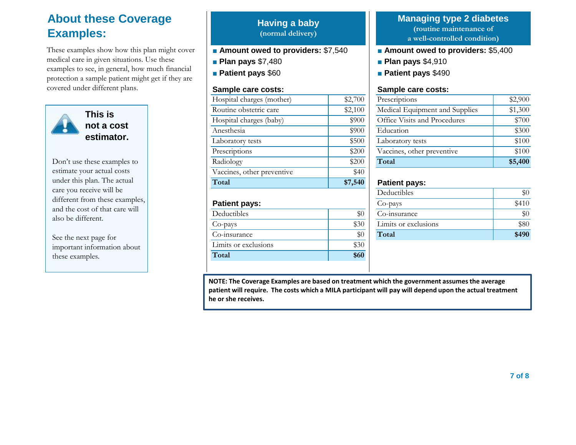# **About these Coverage Examples:**

These examples show how this plan might cover medical care in given situations. Use these examples to see, in general, how much financial protection a sample patient might get if they are covered under different plans.



Don't use these examples to estimate your actual costs under this plan. The actual care you receive will be different from these examples, and the cost of that care will also be different.

See the next page for important information about these examples.

## **Having a baby (normal delivery)**

- **Amount owed to providers:** \$7,540
- **Plan pays** \$7,480
- **Patient pays** \$60

| Hospital charges (mother)  | \$2,700 |
|----------------------------|---------|
| Routine obstetric care     | \$2,100 |
| Hospital charges (baby)    | \$900   |
| Anesthesia                 | \$900   |
| Laboratory tests           | \$500   |
| Prescriptions              | \$200   |
| Radiology                  | \$200   |
|                            |         |
| Vaccines, other preventive | \$40    |
| Total                      | \$7,540 |
| <b>Patient pays:</b>       |         |
| Deductibles                | \$0     |
| Co-pays                    | \$30    |
| Co-insurance               | $\$0$   |

**Total \$60** 

# **Managing type 2 diabetes (routine maintenance of**

**a well-controlled condition)**

- **Amount owed to providers:** \$5,400
- **Plan pays** \$4,910
- **Patient pays** \$490

#### **Sample care costs: Sample care costs:**

| Hospital charges (mother) | \$2,700 | Prescriptions                  | \$2,900 |
|---------------------------|---------|--------------------------------|---------|
| Routine obstetric care    | \$2,100 | Medical Equipment and Supplies | \$1,300 |
| Hospital charges (baby)   | \$900   | Office Visits and Procedures   | \$700   |
| Anesthesia                | \$900   | Education                      | \$300   |
| Laboratory tests          | \$500   | Laboratory tests               | \$100   |
| Prescriptions             | \$200   | Vaccines, other preventive     | \$100   |
| Radiology                 | \$200   | Total                          | \$5,400 |

## **Patient pays:**

|                      |      | Deductibles          | $\$0$ |
|----------------------|------|----------------------|-------|
| <b>Patient pays:</b> |      | $Co$ -pays           | \$410 |
| Deductibles          | \$0  | Co-insurance         | \$0   |
| Co-pays              | \$30 | Limits or exclusions | \$80  |
| Co-insurance         | \$0  | Total                | \$490 |
|                      |      |                      |       |

**NOTE: The Coverage Examples are based on treatment which the government assumes the average patient will require. The costs which a MILA participant will pay will depend upon the actual treatment he or she receives.**